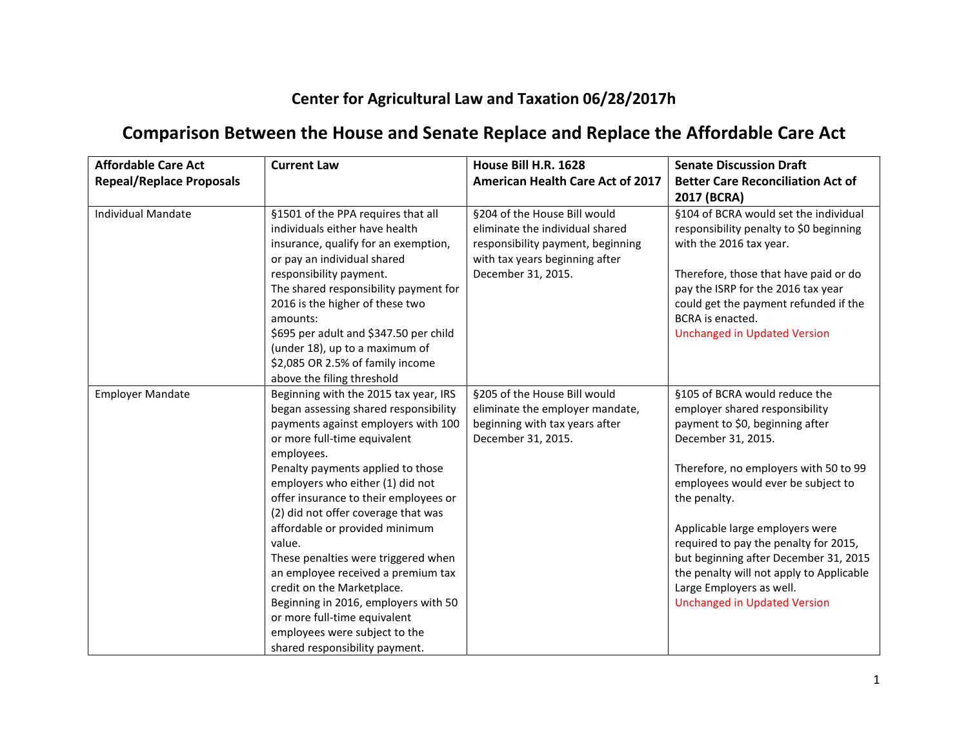## **Center for Agricultural Law and Taxation 06/28/2017h**

## **Comparison Between the House and Senate Replace and Replace the Affordable Care Act**

| <b>Affordable Care Act</b><br><b>Repeal/Replace Proposals</b> | <b>Current Law</b>                                                                                                                                                                                                                                                                                                                                                                                                                                                                                                                                                                                                             | House Bill H.R. 1628<br><b>American Health Care Act of 2017</b>                                                                                              | <b>Senate Discussion Draft</b><br><b>Better Care Reconciliation Act of</b><br>2017 (BCRA)                                                                                                                                                                                                                                                                                                                                                                   |
|---------------------------------------------------------------|--------------------------------------------------------------------------------------------------------------------------------------------------------------------------------------------------------------------------------------------------------------------------------------------------------------------------------------------------------------------------------------------------------------------------------------------------------------------------------------------------------------------------------------------------------------------------------------------------------------------------------|--------------------------------------------------------------------------------------------------------------------------------------------------------------|-------------------------------------------------------------------------------------------------------------------------------------------------------------------------------------------------------------------------------------------------------------------------------------------------------------------------------------------------------------------------------------------------------------------------------------------------------------|
| <b>Individual Mandate</b>                                     | §1501 of the PPA requires that all<br>individuals either have health<br>insurance, qualify for an exemption,<br>or pay an individual shared<br>responsibility payment.<br>The shared responsibility payment for<br>2016 is the higher of these two<br>amounts:<br>\$695 per adult and \$347.50 per child<br>(under 18), up to a maximum of<br>\$2,085 OR 2.5% of family income<br>above the filing threshold                                                                                                                                                                                                                   | §204 of the House Bill would<br>eliminate the individual shared<br>responsibility payment, beginning<br>with tax years beginning after<br>December 31, 2015. | §104 of BCRA would set the individual<br>responsibility penalty to \$0 beginning<br>with the 2016 tax year.<br>Therefore, those that have paid or do<br>pay the ISRP for the 2016 tax year<br>could get the payment refunded if the<br>BCRA is enacted.<br><b>Unchanged in Updated Version</b>                                                                                                                                                              |
| <b>Employer Mandate</b>                                       | Beginning with the 2015 tax year, IRS<br>began assessing shared responsibility<br>payments against employers with 100<br>or more full-time equivalent<br>employees.<br>Penalty payments applied to those<br>employers who either (1) did not<br>offer insurance to their employees or<br>(2) did not offer coverage that was<br>affordable or provided minimum<br>value.<br>These penalties were triggered when<br>an employee received a premium tax<br>credit on the Marketplace.<br>Beginning in 2016, employers with 50<br>or more full-time equivalent<br>employees were subject to the<br>shared responsibility payment. | §205 of the House Bill would<br>eliminate the employer mandate,<br>beginning with tax years after<br>December 31, 2015.                                      | §105 of BCRA would reduce the<br>employer shared responsibility<br>payment to \$0, beginning after<br>December 31, 2015.<br>Therefore, no employers with 50 to 99<br>employees would ever be subject to<br>the penalty.<br>Applicable large employers were<br>required to pay the penalty for 2015,<br>but beginning after December 31, 2015<br>the penalty will not apply to Applicable<br>Large Employers as well.<br><b>Unchanged in Updated Version</b> |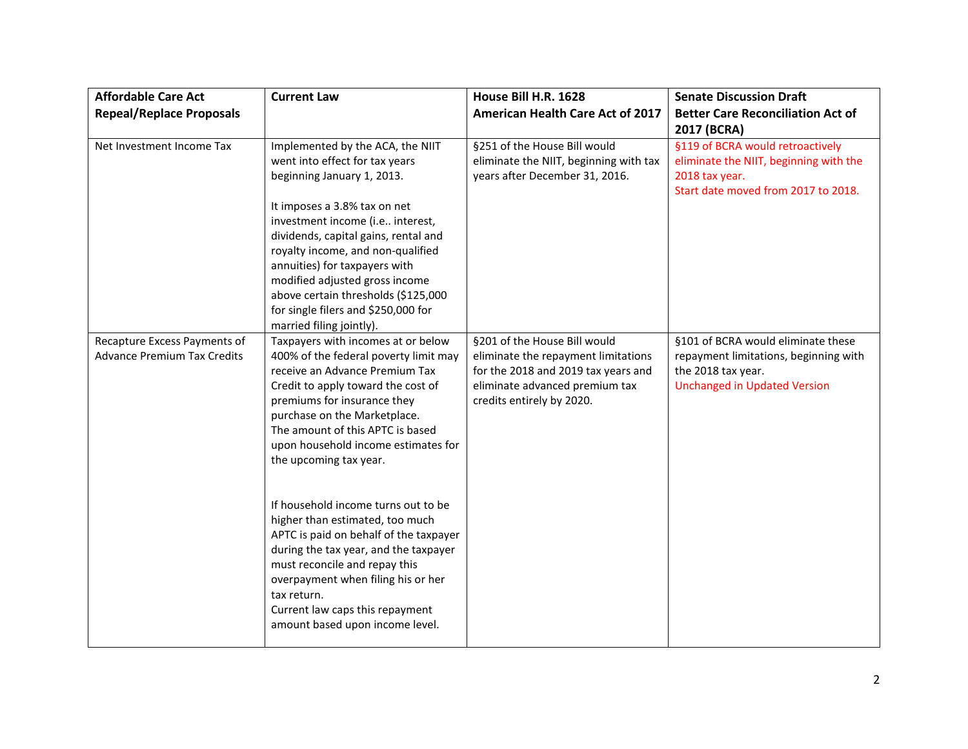| <b>Affordable Care Act</b><br><b>Repeal/Replace Proposals</b>      | <b>Current Law</b>                                                                                                                                                                                                                                                                                                      | House Bill H.R. 1628<br><b>American Health Care Act of 2017</b>                                                                                                           | <b>Senate Discussion Draft</b><br><b>Better Care Reconciliation Act of</b><br>2017 (BCRA)                                                |
|--------------------------------------------------------------------|-------------------------------------------------------------------------------------------------------------------------------------------------------------------------------------------------------------------------------------------------------------------------------------------------------------------------|---------------------------------------------------------------------------------------------------------------------------------------------------------------------------|------------------------------------------------------------------------------------------------------------------------------------------|
| Net Investment Income Tax                                          | Implemented by the ACA, the NIIT<br>went into effect for tax years<br>beginning January 1, 2013.<br>It imposes a 3.8% tax on net<br>investment income (i.e interest,                                                                                                                                                    | §251 of the House Bill would<br>eliminate the NIIT, beginning with tax<br>years after December 31, 2016.                                                                  | §119 of BCRA would retroactively<br>eliminate the NIIT, beginning with the<br>2018 tax year.<br>Start date moved from 2017 to 2018.      |
|                                                                    | dividends, capital gains, rental and<br>royalty income, and non-qualified<br>annuities) for taxpayers with<br>modified adjusted gross income<br>above certain thresholds (\$125,000<br>for single filers and \$250,000 for<br>married filing jointly).                                                                  |                                                                                                                                                                           |                                                                                                                                          |
| Recapture Excess Payments of<br><b>Advance Premium Tax Credits</b> | Taxpayers with incomes at or below<br>400% of the federal poverty limit may<br>receive an Advance Premium Tax<br>Credit to apply toward the cost of<br>premiums for insurance they<br>purchase on the Marketplace.<br>The amount of this APTC is based<br>upon household income estimates for<br>the upcoming tax year. | §201 of the House Bill would<br>eliminate the repayment limitations<br>for the 2018 and 2019 tax years and<br>eliminate advanced premium tax<br>credits entirely by 2020. | §101 of BCRA would eliminate these<br>repayment limitations, beginning with<br>the 2018 tax year.<br><b>Unchanged in Updated Version</b> |
|                                                                    | If household income turns out to be<br>higher than estimated, too much<br>APTC is paid on behalf of the taxpayer<br>during the tax year, and the taxpayer<br>must reconcile and repay this<br>overpayment when filing his or her<br>tax return.<br>Current law caps this repayment<br>amount based upon income level.   |                                                                                                                                                                           |                                                                                                                                          |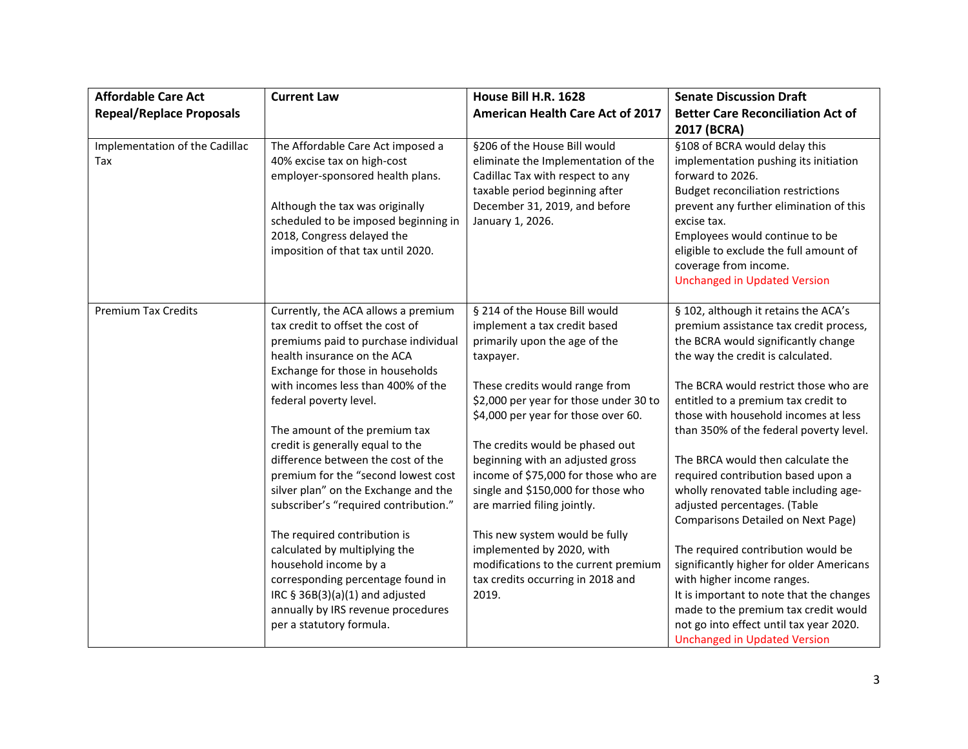| <b>Affordable Care Act</b><br><b>Repeal/Replace Proposals</b> | <b>Current Law</b>                                                                                                                                                                                                                                  | House Bill H.R. 1628<br><b>American Health Care Act of 2017</b>                                                                                                                                | <b>Senate Discussion Draft</b><br><b>Better Care Reconciliation Act of</b>                                                                                                                                                                                                                                                                                   |
|---------------------------------------------------------------|-----------------------------------------------------------------------------------------------------------------------------------------------------------------------------------------------------------------------------------------------------|------------------------------------------------------------------------------------------------------------------------------------------------------------------------------------------------|--------------------------------------------------------------------------------------------------------------------------------------------------------------------------------------------------------------------------------------------------------------------------------------------------------------------------------------------------------------|
| Implementation of the Cadillac<br>Tax                         | The Affordable Care Act imposed a<br>40% excise tax on high-cost<br>employer-sponsored health plans.<br>Although the tax was originally<br>scheduled to be imposed beginning in<br>2018, Congress delayed the<br>imposition of that tax until 2020. | §206 of the House Bill would<br>eliminate the Implementation of the<br>Cadillac Tax with respect to any<br>taxable period beginning after<br>December 31, 2019, and before<br>January 1, 2026. | 2017 (BCRA)<br>§108 of BCRA would delay this<br>implementation pushing its initiation<br>forward to 2026.<br><b>Budget reconciliation restrictions</b><br>prevent any further elimination of this<br>excise tax.<br>Employees would continue to be<br>eligible to exclude the full amount of<br>coverage from income.<br><b>Unchanged in Updated Version</b> |
| <b>Premium Tax Credits</b>                                    | Currently, the ACA allows a premium<br>tax credit to offset the cost of<br>premiums paid to purchase individual<br>health insurance on the ACA<br>Exchange for those in households<br>with incomes less than 400% of the<br>federal poverty level.  | § 214 of the House Bill would<br>implement a tax credit based<br>primarily upon the age of the<br>taxpayer.<br>These credits would range from<br>\$2,000 per year for those under 30 to        | § 102, although it retains the ACA's<br>premium assistance tax credit process,<br>the BCRA would significantly change<br>the way the credit is calculated.<br>The BCRA would restrict those who are<br>entitled to a premium tax credit to                                                                                                                   |
|                                                               | The amount of the premium tax                                                                                                                                                                                                                       | \$4,000 per year for those over 60.                                                                                                                                                            | those with household incomes at less<br>than 350% of the federal poverty level.                                                                                                                                                                                                                                                                              |
|                                                               | credit is generally equal to the<br>difference between the cost of the<br>premium for the "second lowest cost<br>silver plan" on the Exchange and the<br>subscriber's "required contribution."                                                      | The credits would be phased out<br>beginning with an adjusted gross<br>income of \$75,000 for those who are<br>single and \$150,000 for those who<br>are married filing jointly.               | The BRCA would then calculate the<br>required contribution based upon a<br>wholly renovated table including age-<br>adjusted percentages. (Table<br>Comparisons Detailed on Next Page)                                                                                                                                                                       |
|                                                               | The required contribution is<br>calculated by multiplying the<br>household income by a<br>corresponding percentage found in<br>IRC § 36B(3)(a)(1) and adjusted<br>annually by IRS revenue procedures<br>per a statutory formula.                    | This new system would be fully<br>implemented by 2020, with<br>modifications to the current premium<br>tax credits occurring in 2018 and<br>2019.                                              | The required contribution would be<br>significantly higher for older Americans<br>with higher income ranges.<br>It is important to note that the changes<br>made to the premium tax credit would<br>not go into effect until tax year 2020.<br><b>Unchanged in Updated Version</b>                                                                           |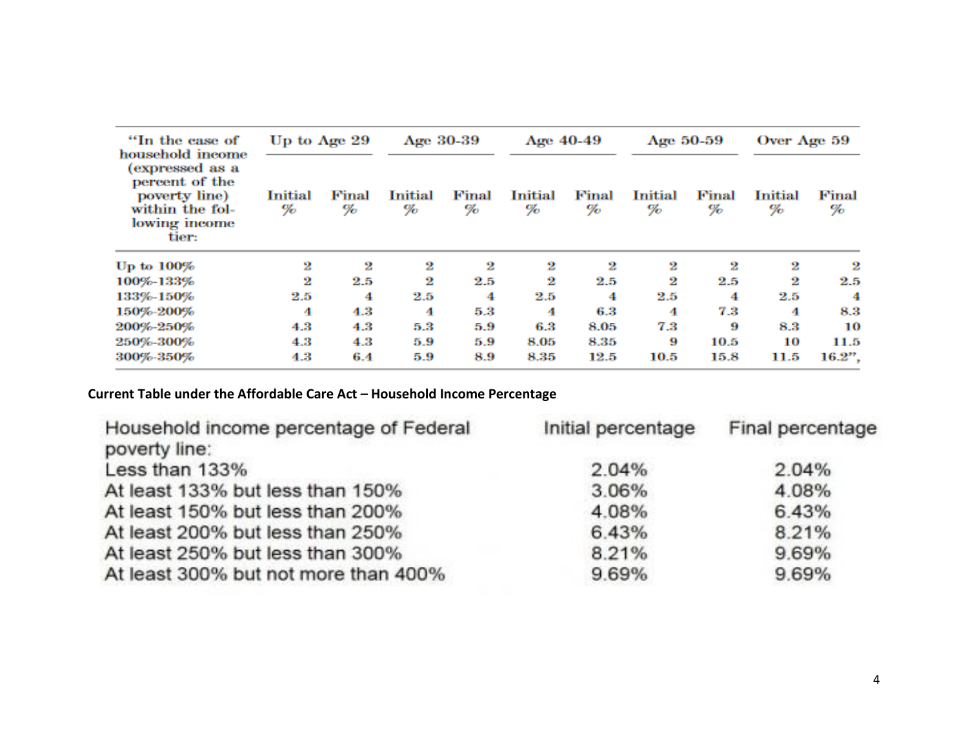| "In the case of                                                                                                     | Up to Age 29 |            | Age 30-39    |            | Age 40-49           |            |              | Age 50-59  | Over Age 59         |            |
|---------------------------------------------------------------------------------------------------------------------|--------------|------------|--------------|------------|---------------------|------------|--------------|------------|---------------------|------------|
| household income<br>(expressed as a<br>percent of the<br>poverty line)<br>within the fol-<br>lowing income<br>tier: | Initial<br>% | Final<br>% | Initial<br>% | Final<br>% | <b>Initial</b><br>% | Final<br>% | Initial<br>% | Final<br>% | <b>Initial</b><br>% | Final<br>% |
| Up to 100%                                                                                                          | 2            | 2          | 2            | 2          | 2                   | 2          | 2            | 2          | 2                   | 2          |
| 100%-133%                                                                                                           | 2            | $2.5\,$    | 2            | $2.5\,$    | 2                   | 2.5        | 2            | 2.5        | 2                   | $2.5\,$    |
| 133%-150%                                                                                                           | 2.5          | 4          | $2.5\,$      | 4          | $2.5\,$             | 4          | $2.5\,$      | 4          | $2.5\,$             | 4          |
| 150%-200%                                                                                                           | 4            | $4.3\,$    | 4            | 5.3        | 4                   | 6.3        | 4            | 7.3        | 4                   | 8.3        |
| 200%-250%                                                                                                           | 4.3.         | 4.3        | 5.3          | 5.9        | 6.3                 | 8.05       | 7.3          | 9          | 8.3                 | 10         |
| 250%-300%                                                                                                           | 4.3          | 4.3        | 5.9          | 5.9        | 8.05                | 8.35       | 9            | 10.5       | 10                  | 11.5       |
| 300%-350%                                                                                                           | 4.3          | 6.4        | 5.9          | 8.9        | 8.35                | 12.5       | 10.5         | 15.8       | 11.5                | 16.2",     |

**Current Table under the Affordable Care Act – Household Income Percentage**

| Household income percentage of Federal<br>poverty line: | Initial percentage | Final percentage |
|---------------------------------------------------------|--------------------|------------------|
| Less than 133%                                          | 2.04%              | 2.04%            |
| At least 133% but less than 150%                        | 3.06%              | 4.08%            |
| At least 150% but less than 200%                        | 4.08%              | 6.43%            |
| At least 200% but less than 250%                        | 6.43%              | 8.21%            |
| At least 250% but less than 300%                        | 8.21%              | 9.69%            |
| At least 300% but not more than 400%                    | 9.69%              | 9.69%            |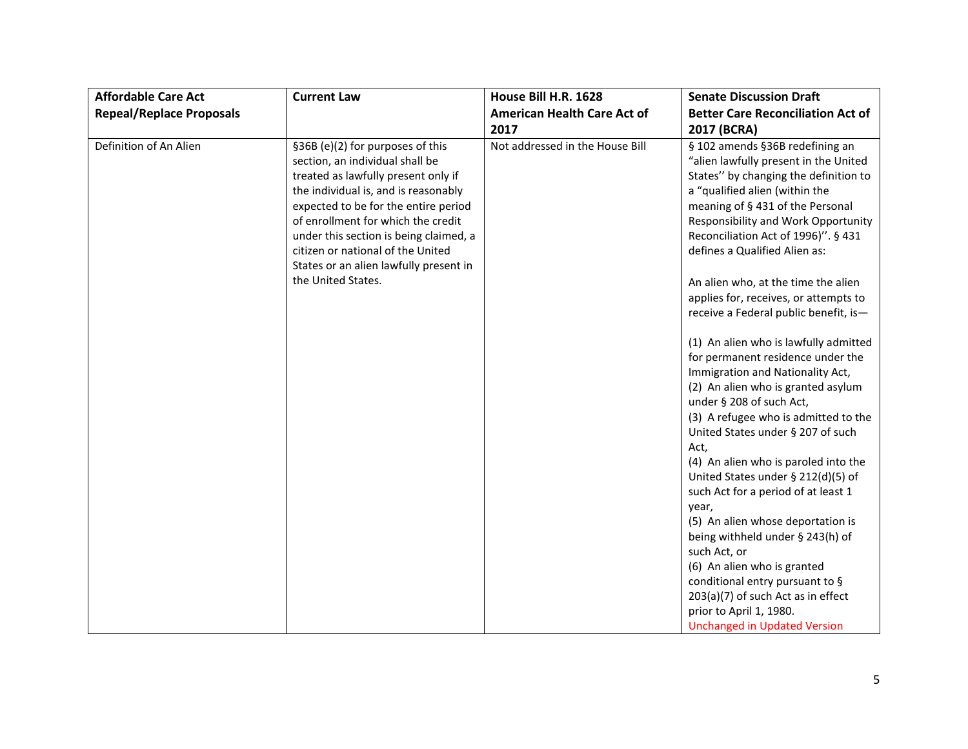| <b>Affordable Care Act</b>      | <b>Current Law</b>                                                                                                                                                                                                                                                                                                                                                              | House Bill H.R. 1628                       | <b>Senate Discussion Draft</b>                                                                                                                                                                                                                                                                                                                                                                                                                                                                                                                                                                                                                                                                                                                                                                                                                                                                                                                                                                                                                                       |
|---------------------------------|---------------------------------------------------------------------------------------------------------------------------------------------------------------------------------------------------------------------------------------------------------------------------------------------------------------------------------------------------------------------------------|--------------------------------------------|----------------------------------------------------------------------------------------------------------------------------------------------------------------------------------------------------------------------------------------------------------------------------------------------------------------------------------------------------------------------------------------------------------------------------------------------------------------------------------------------------------------------------------------------------------------------------------------------------------------------------------------------------------------------------------------------------------------------------------------------------------------------------------------------------------------------------------------------------------------------------------------------------------------------------------------------------------------------------------------------------------------------------------------------------------------------|
| <b>Repeal/Replace Proposals</b> |                                                                                                                                                                                                                                                                                                                                                                                 | <b>American Health Care Act of</b><br>2017 | <b>Better Care Reconciliation Act of</b><br>2017 (BCRA)                                                                                                                                                                                                                                                                                                                                                                                                                                                                                                                                                                                                                                                                                                                                                                                                                                                                                                                                                                                                              |
| Definition of An Alien          | §36B (e)(2) for purposes of this<br>section, an individual shall be<br>treated as lawfully present only if<br>the individual is, and is reasonably<br>expected to be for the entire period<br>of enrollment for which the credit<br>under this section is being claimed, a<br>citizen or national of the United<br>States or an alien lawfully present in<br>the United States. | Not addressed in the House Bill            | § 102 amends §36B redefining an<br>"alien lawfully present in the United<br>States" by changing the definition to<br>a "qualified alien (within the<br>meaning of § 431 of the Personal<br>Responsibility and Work Opportunity<br>Reconciliation Act of 1996)". § 431<br>defines a Qualified Alien as:<br>An alien who, at the time the alien<br>applies for, receives, or attempts to<br>receive a Federal public benefit, is-<br>(1) An alien who is lawfully admitted<br>for permanent residence under the<br>Immigration and Nationality Act,<br>(2) An alien who is granted asylum<br>under § 208 of such Act,<br>(3) A refugee who is admitted to the<br>United States under § 207 of such<br>Act,<br>(4) An alien who is paroled into the<br>United States under § 212(d)(5) of<br>such Act for a period of at least 1<br>year,<br>(5) An alien whose deportation is<br>being withheld under § 243(h) of<br>such Act, or<br>(6) An alien who is granted<br>conditional entry pursuant to §<br>$203(a)(7)$ of such Act as in effect<br>prior to April 1, 1980. |
|                                 |                                                                                                                                                                                                                                                                                                                                                                                 |                                            | <b>Unchanged in Updated Version</b>                                                                                                                                                                                                                                                                                                                                                                                                                                                                                                                                                                                                                                                                                                                                                                                                                                                                                                                                                                                                                                  |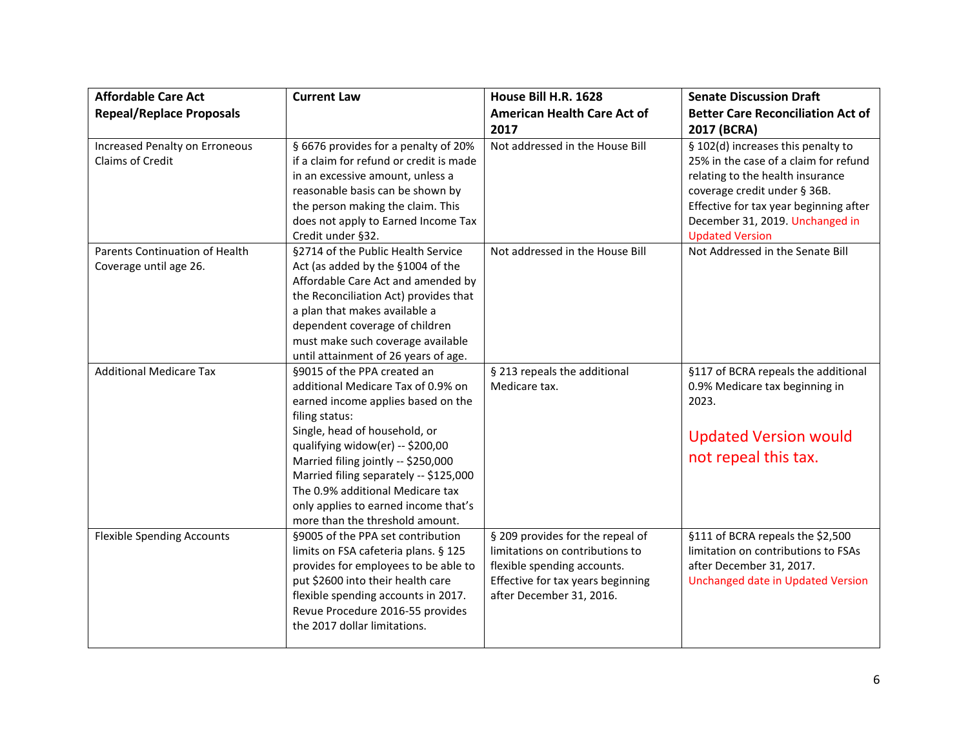| <b>Affordable Care Act</b>                               | <b>Current Law</b>                                                                                                                                                                                                                                                                                                                                                                             | House Bill H.R. 1628                                                                                                                                                | <b>Senate Discussion Draft</b>                                                                                                                                                                                                                         |
|----------------------------------------------------------|------------------------------------------------------------------------------------------------------------------------------------------------------------------------------------------------------------------------------------------------------------------------------------------------------------------------------------------------------------------------------------------------|---------------------------------------------------------------------------------------------------------------------------------------------------------------------|--------------------------------------------------------------------------------------------------------------------------------------------------------------------------------------------------------------------------------------------------------|
| <b>Repeal/Replace Proposals</b>                          |                                                                                                                                                                                                                                                                                                                                                                                                | <b>American Health Care Act of</b><br>2017                                                                                                                          | <b>Better Care Reconciliation Act of</b><br>2017 (BCRA)                                                                                                                                                                                                |
| Increased Penalty on Erroneous<br>Claims of Credit       | § 6676 provides for a penalty of 20%<br>if a claim for refund or credit is made<br>in an excessive amount, unless a<br>reasonable basis can be shown by<br>the person making the claim. This<br>does not apply to Earned Income Tax<br>Credit under §32.                                                                                                                                       | Not addressed in the House Bill                                                                                                                                     | § 102(d) increases this penalty to<br>25% in the case of a claim for refund<br>relating to the health insurance<br>coverage credit under § 36B.<br>Effective for tax year beginning after<br>December 31, 2019. Unchanged in<br><b>Updated Version</b> |
| Parents Continuation of Health<br>Coverage until age 26. | §2714 of the Public Health Service<br>Act (as added by the §1004 of the<br>Affordable Care Act and amended by<br>the Reconciliation Act) provides that<br>a plan that makes available a<br>dependent coverage of children<br>must make such coverage available<br>until attainment of 26 years of age.                                                                                         | Not addressed in the House Bill                                                                                                                                     | Not Addressed in the Senate Bill                                                                                                                                                                                                                       |
| <b>Additional Medicare Tax</b>                           | §9015 of the PPA created an<br>additional Medicare Tax of 0.9% on<br>earned income applies based on the<br>filing status:<br>Single, head of household, or<br>qualifying widow(er) -- \$200,00<br>Married filing jointly -- \$250,000<br>Married filing separately -- \$125,000<br>The 0.9% additional Medicare tax<br>only applies to earned income that's<br>more than the threshold amount. | § 213 repeals the additional<br>Medicare tax.                                                                                                                       | §117 of BCRA repeals the additional<br>0.9% Medicare tax beginning in<br>2023.<br><b>Updated Version would</b><br>not repeal this tax.                                                                                                                 |
| <b>Flexible Spending Accounts</b>                        | §9005 of the PPA set contribution<br>limits on FSA cafeteria plans. § 125<br>provides for employees to be able to<br>put \$2600 into their health care<br>flexible spending accounts in 2017.<br>Revue Procedure 2016-55 provides<br>the 2017 dollar limitations.                                                                                                                              | § 209 provides for the repeal of<br>limitations on contributions to<br>flexible spending accounts.<br>Effective for tax years beginning<br>after December 31, 2016. | §111 of BCRA repeals the \$2,500<br>limitation on contributions to FSAs<br>after December 31, 2017.<br>Unchanged date in Updated Version                                                                                                               |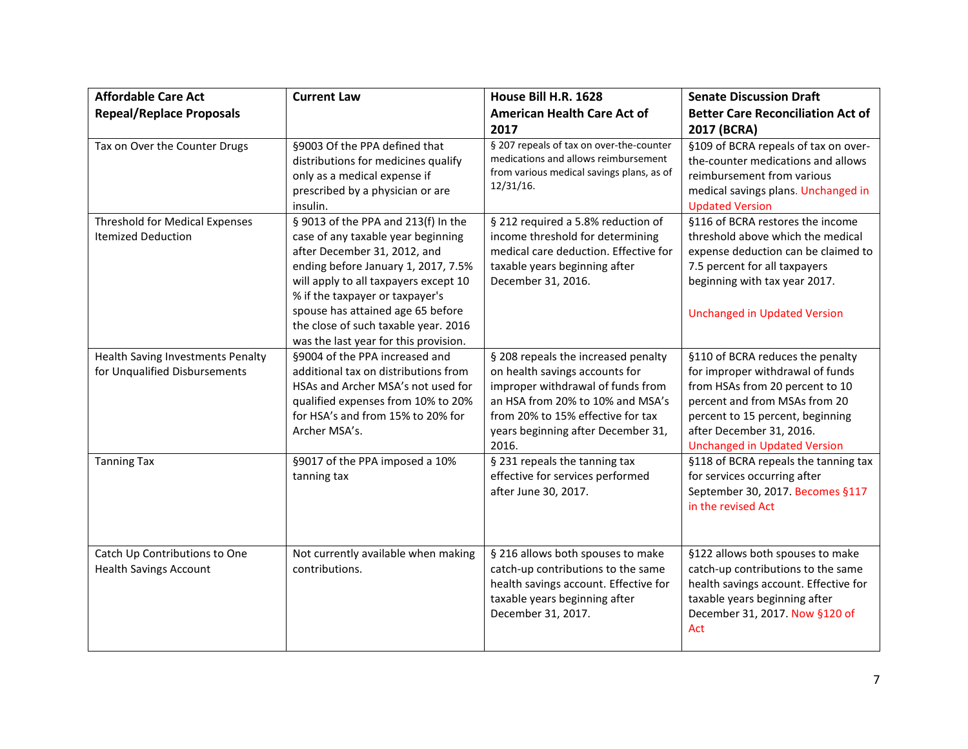| <b>Affordable Care Act</b>                                         | <b>Current Law</b>                                                                                                                                                                                                                                                                                                                                 | House Bill H.R. 1628                                                                                                                                                                                                               | <b>Senate Discussion Draft</b>                                                                                                                                                                                                                  |
|--------------------------------------------------------------------|----------------------------------------------------------------------------------------------------------------------------------------------------------------------------------------------------------------------------------------------------------------------------------------------------------------------------------------------------|------------------------------------------------------------------------------------------------------------------------------------------------------------------------------------------------------------------------------------|-------------------------------------------------------------------------------------------------------------------------------------------------------------------------------------------------------------------------------------------------|
| <b>Repeal/Replace Proposals</b>                                    |                                                                                                                                                                                                                                                                                                                                                    | <b>American Health Care Act of</b><br>2017                                                                                                                                                                                         | <b>Better Care Reconciliation Act of</b><br>2017 (BCRA)                                                                                                                                                                                         |
| Tax on Over the Counter Drugs                                      | §9003 Of the PPA defined that<br>distributions for medicines qualify<br>only as a medical expense if<br>prescribed by a physician or are<br>insulin.                                                                                                                                                                                               | § 207 repeals of tax on over-the-counter<br>medications and allows reimbursement<br>from various medical savings plans, as of<br>12/31/16.                                                                                         | §109 of BCRA repeals of tax on over-<br>the-counter medications and allows<br>reimbursement from various<br>medical savings plans. Unchanged in<br><b>Updated Version</b>                                                                       |
| <b>Threshold for Medical Expenses</b><br><b>Itemized Deduction</b> | § 9013 of the PPA and 213(f) In the<br>case of any taxable year beginning<br>after December 31, 2012, and<br>ending before January 1, 2017, 7.5%<br>will apply to all taxpayers except 10<br>% if the taxpayer or taxpayer's<br>spouse has attained age 65 before<br>the close of such taxable year. 2016<br>was the last year for this provision. | § 212 required a 5.8% reduction of<br>income threshold for determining<br>medical care deduction. Effective for<br>taxable years beginning after<br>December 31, 2016.                                                             | §116 of BCRA restores the income<br>threshold above which the medical<br>expense deduction can be claimed to<br>7.5 percent for all taxpayers<br>beginning with tax year 2017.<br><b>Unchanged in Updated Version</b>                           |
| Health Saving Investments Penalty<br>for Unqualified Disbursements | §9004 of the PPA increased and<br>additional tax on distributions from<br>HSAs and Archer MSA's not used for<br>qualified expenses from 10% to 20%<br>for HSA's and from 15% to 20% for<br>Archer MSA's.                                                                                                                                           | § 208 repeals the increased penalty<br>on health savings accounts for<br>improper withdrawal of funds from<br>an HSA from 20% to 10% and MSA's<br>from 20% to 15% effective for tax<br>years beginning after December 31,<br>2016. | §110 of BCRA reduces the penalty<br>for improper withdrawal of funds<br>from HSAs from 20 percent to 10<br>percent and from MSAs from 20<br>percent to 15 percent, beginning<br>after December 31, 2016.<br><b>Unchanged in Updated Version</b> |
| <b>Tanning Tax</b>                                                 | §9017 of the PPA imposed a 10%<br>tanning tax                                                                                                                                                                                                                                                                                                      | § 231 repeals the tanning tax<br>effective for services performed<br>after June 30, 2017.                                                                                                                                          | §118 of BCRA repeals the tanning tax<br>for services occurring after<br>September 30, 2017. Becomes §117<br>in the revised Act                                                                                                                  |
| Catch Up Contributions to One<br><b>Health Savings Account</b>     | Not currently available when making<br>contributions.                                                                                                                                                                                                                                                                                              | § 216 allows both spouses to make<br>catch-up contributions to the same<br>health savings account. Effective for<br>taxable years beginning after<br>December 31, 2017.                                                            | §122 allows both spouses to make<br>catch-up contributions to the same<br>health savings account. Effective for<br>taxable years beginning after<br>December 31, 2017. Now §120 of<br>Act                                                       |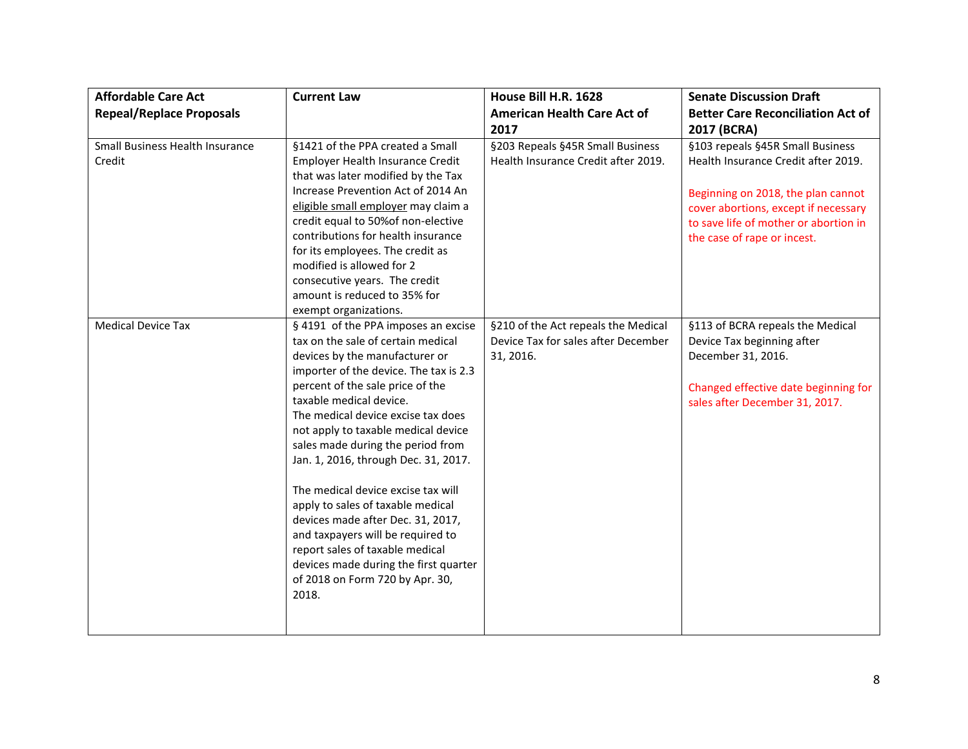| <b>Affordable Care Act</b>                       | <b>Current Law</b>                                                                                                                                                                                                                                                                                                                                                                                                                                                                                                                                                                                                                                          | House Bill H.R. 1628                                                                    | <b>Senate Discussion Draft</b>                                                                                                                                                                                                |
|--------------------------------------------------|-------------------------------------------------------------------------------------------------------------------------------------------------------------------------------------------------------------------------------------------------------------------------------------------------------------------------------------------------------------------------------------------------------------------------------------------------------------------------------------------------------------------------------------------------------------------------------------------------------------------------------------------------------------|-----------------------------------------------------------------------------------------|-------------------------------------------------------------------------------------------------------------------------------------------------------------------------------------------------------------------------------|
| <b>Repeal/Replace Proposals</b>                  |                                                                                                                                                                                                                                                                                                                                                                                                                                                                                                                                                                                                                                                             | <b>American Health Care Act of</b><br>2017                                              | <b>Better Care Reconciliation Act of</b><br>2017 (BCRA)                                                                                                                                                                       |
| <b>Small Business Health Insurance</b><br>Credit | §1421 of the PPA created a Small<br>Employer Health Insurance Credit<br>that was later modified by the Tax<br>Increase Prevention Act of 2014 An<br>eligible small employer may claim a<br>credit equal to 50% of non-elective<br>contributions for health insurance<br>for its employees. The credit as<br>modified is allowed for 2<br>consecutive years. The credit<br>amount is reduced to 35% for<br>exempt organizations.                                                                                                                                                                                                                             | §203 Repeals §45R Small Business<br>Health Insurance Credit after 2019.                 | §103 repeals §45R Small Business<br>Health Insurance Credit after 2019.<br>Beginning on 2018, the plan cannot<br>cover abortions, except if necessary<br>to save life of mother or abortion in<br>the case of rape or incest. |
| <b>Medical Device Tax</b>                        | § 4191 of the PPA imposes an excise<br>tax on the sale of certain medical<br>devices by the manufacturer or<br>importer of the device. The tax is 2.3<br>percent of the sale price of the<br>taxable medical device.<br>The medical device excise tax does<br>not apply to taxable medical device<br>sales made during the period from<br>Jan. 1, 2016, through Dec. 31, 2017.<br>The medical device excise tax will<br>apply to sales of taxable medical<br>devices made after Dec. 31, 2017,<br>and taxpayers will be required to<br>report sales of taxable medical<br>devices made during the first quarter<br>of 2018 on Form 720 by Apr. 30,<br>2018. | §210 of the Act repeals the Medical<br>Device Tax for sales after December<br>31, 2016. | §113 of BCRA repeals the Medical<br>Device Tax beginning after<br>December 31, 2016.<br>Changed effective date beginning for<br>sales after December 31, 2017.                                                                |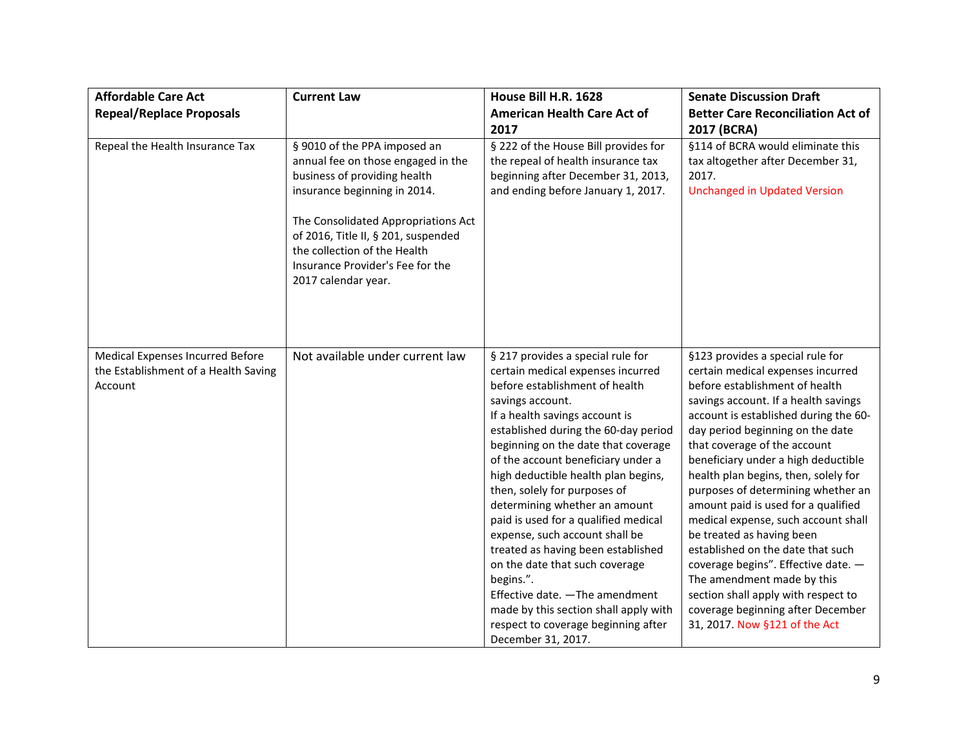| <b>Affordable Care Act</b>                                                          | <b>Current Law</b>                                                                                                                                                                                                                                                                                          | House Bill H.R. 1628                                                                                                                                                                                                                                                                                                                                                                                                                                                                                                                                                                                                                                                                                | <b>Senate Discussion Draft</b>                                                                                                                                                                                                                                                                                                                                                                                                                                                                                                                                                                                                                                                                                      |
|-------------------------------------------------------------------------------------|-------------------------------------------------------------------------------------------------------------------------------------------------------------------------------------------------------------------------------------------------------------------------------------------------------------|-----------------------------------------------------------------------------------------------------------------------------------------------------------------------------------------------------------------------------------------------------------------------------------------------------------------------------------------------------------------------------------------------------------------------------------------------------------------------------------------------------------------------------------------------------------------------------------------------------------------------------------------------------------------------------------------------------|---------------------------------------------------------------------------------------------------------------------------------------------------------------------------------------------------------------------------------------------------------------------------------------------------------------------------------------------------------------------------------------------------------------------------------------------------------------------------------------------------------------------------------------------------------------------------------------------------------------------------------------------------------------------------------------------------------------------|
| <b>Repeal/Replace Proposals</b>                                                     |                                                                                                                                                                                                                                                                                                             | <b>American Health Care Act of</b><br>2017                                                                                                                                                                                                                                                                                                                                                                                                                                                                                                                                                                                                                                                          | <b>Better Care Reconciliation Act of</b><br>2017 (BCRA)                                                                                                                                                                                                                                                                                                                                                                                                                                                                                                                                                                                                                                                             |
| Repeal the Health Insurance Tax                                                     | § 9010 of the PPA imposed an<br>annual fee on those engaged in the<br>business of providing health<br>insurance beginning in 2014.<br>The Consolidated Appropriations Act<br>of 2016, Title II, § 201, suspended<br>the collection of the Health<br>Insurance Provider's Fee for the<br>2017 calendar year. | § 222 of the House Bill provides for<br>the repeal of health insurance tax<br>beginning after December 31, 2013,<br>and ending before January 1, 2017.                                                                                                                                                                                                                                                                                                                                                                                                                                                                                                                                              | §114 of BCRA would eliminate this<br>tax altogether after December 31,<br>2017.<br><b>Unchanged in Updated Version</b>                                                                                                                                                                                                                                                                                                                                                                                                                                                                                                                                                                                              |
| Medical Expenses Incurred Before<br>the Establishment of a Health Saving<br>Account | Not available under current law                                                                                                                                                                                                                                                                             | § 217 provides a special rule for<br>certain medical expenses incurred<br>before establishment of health<br>savings account.<br>If a health savings account is<br>established during the 60-day period<br>beginning on the date that coverage<br>of the account beneficiary under a<br>high deductible health plan begins,<br>then, solely for purposes of<br>determining whether an amount<br>paid is used for a qualified medical<br>expense, such account shall be<br>treated as having been established<br>on the date that such coverage<br>begins.".<br>Effective date. - The amendment<br>made by this section shall apply with<br>respect to coverage beginning after<br>December 31, 2017. | §123 provides a special rule for<br>certain medical expenses incurred<br>before establishment of health<br>savings account. If a health savings<br>account is established during the 60-<br>day period beginning on the date<br>that coverage of the account<br>beneficiary under a high deductible<br>health plan begins, then, solely for<br>purposes of determining whether an<br>amount paid is used for a qualified<br>medical expense, such account shall<br>be treated as having been<br>established on the date that such<br>coverage begins". Effective date. -<br>The amendment made by this<br>section shall apply with respect to<br>coverage beginning after December<br>31, 2017. Now §121 of the Act |